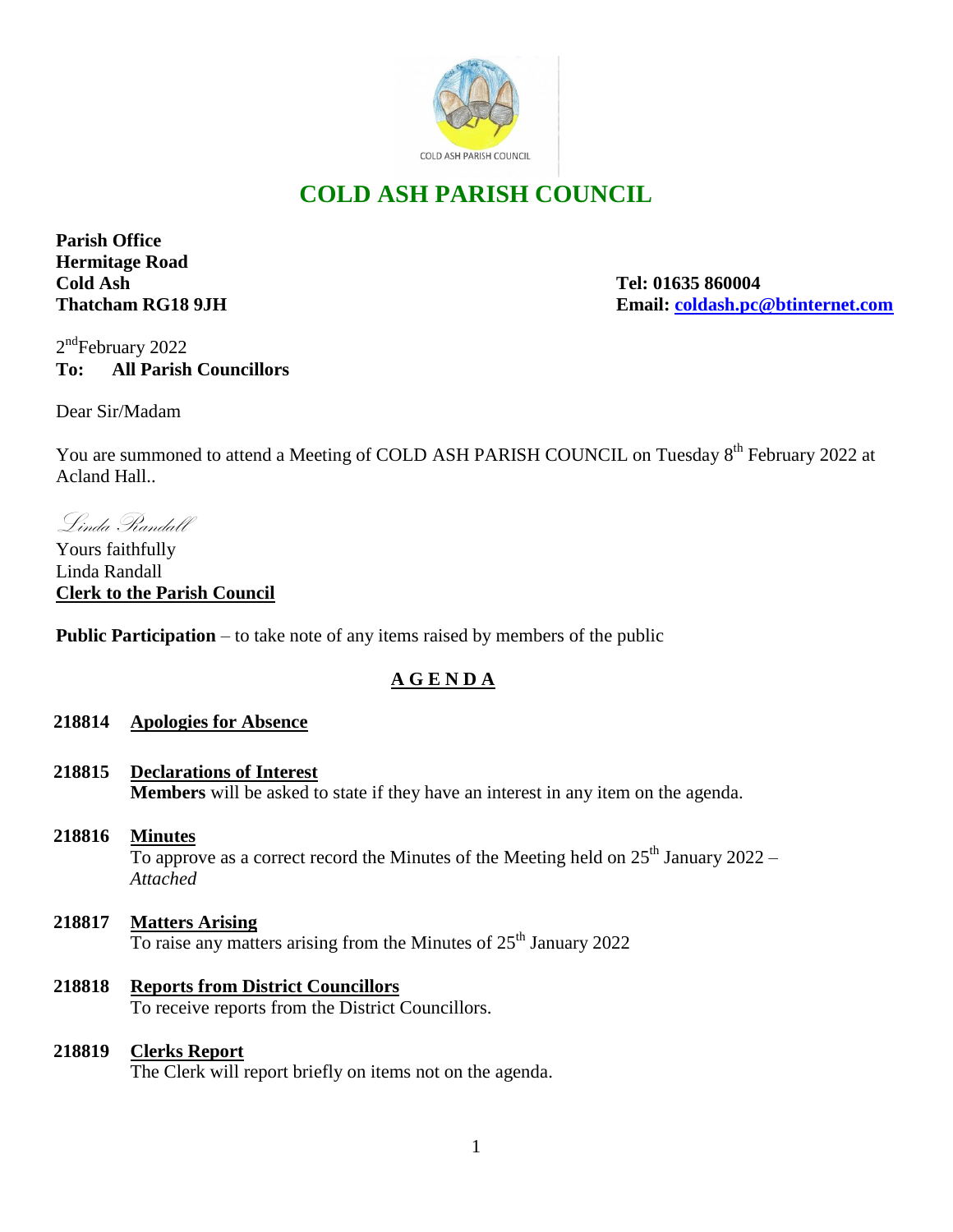

# **COLD ASH PARISH COUNCIL**

**Parish Office Hermitage Road Cold Ash Tel: 01635 860004**

**Thatcham RG18 9JH Email: [coldash.pc@btinternet.com](mailto:coldash.pc@btinternet.com)**

2<sup>nd</sup>February 2022 **To: All Parish Councillors**

Dear Sir/Madam

You are summoned to attend a Meeting of COLD ASH PARISH COUNCIL on Tuesday 8<sup>th</sup> February 2022 at Acland Hall..

Linda Randall

Yours faithfully Linda Randall **Clerk to the Parish Council** 

**Public Participation** – to take note of any items raised by members of the public

# **A G E N D A**

## **218814 Apologies for Absence**

- **218815 Declarations of Interest Members** will be asked to state if they have an interest in any item on the agenda.
- **218816 Minutes** To approve as a correct record the Minutes of the Meeting held on  $25<sup>th</sup>$  January 2022 – *Attached*
- **218817 Matters Arising** To raise any matters arising from the Minutes of  $25<sup>th</sup>$  January 2022
- **218818 Reports from District Councillors** To receive reports from the District Councillors.
- **218819 Clerks Report** The Clerk will report briefly on items not on the agenda.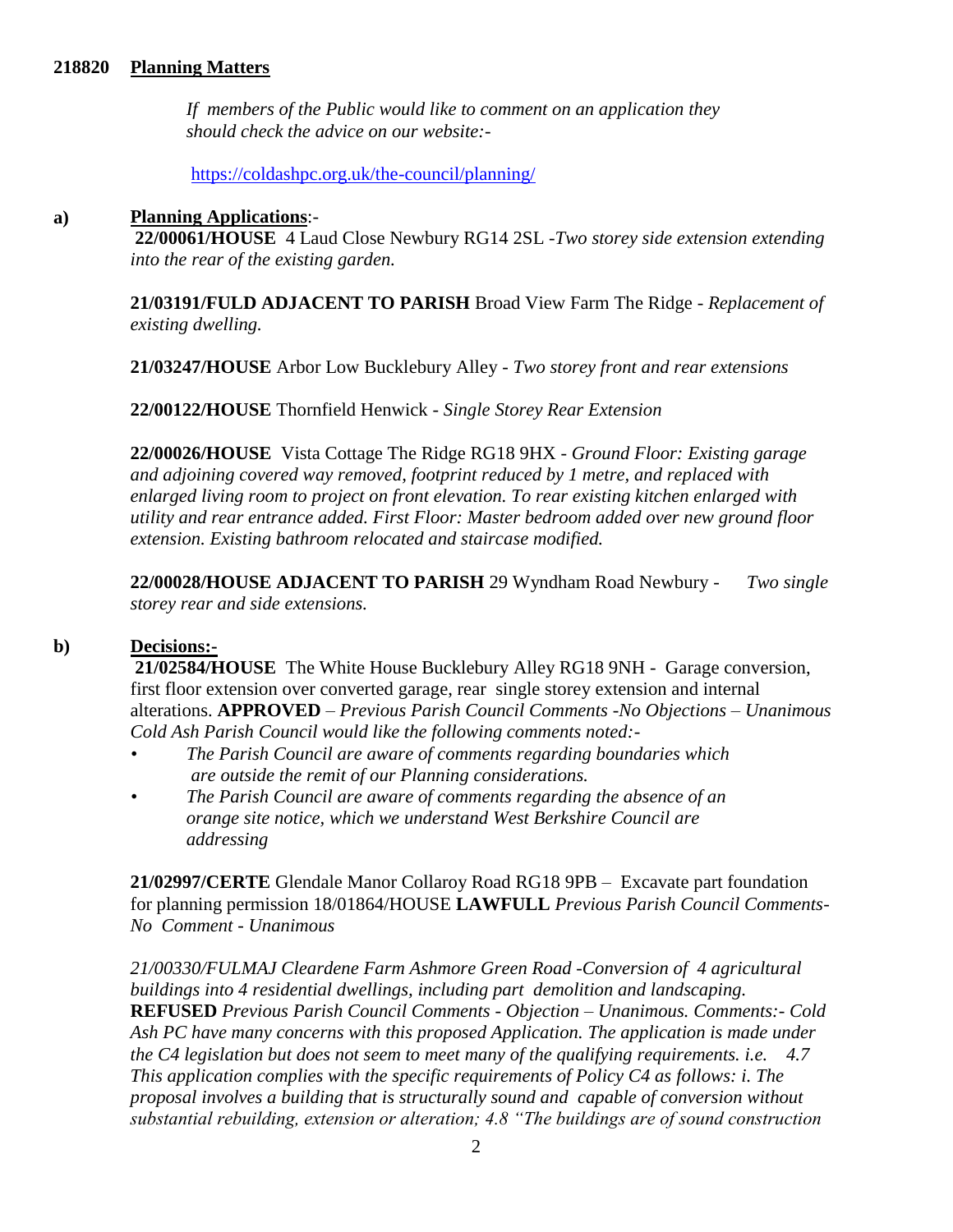#### **218820 Planning Matters**

 *If members of the Public would like to comment on an application they should check the advice on our website:-*

<https://coldashpc.org.uk/the-council/planning/>

#### **a) Planning Applications**:-

**22/00061/HOUSE** 4 Laud Close Newbury RG14 2SL -*Two storey side extension extending into the rear of the existing garden.* 

**21/03191/FULD ADJACENT TO PARISH** Broad View Farm The Ridge *- Replacement of existing dwelling.*

**21/03247/HOUSE** Arbor Low Bucklebury Alley - *Two storey front and rear extensions*

**22/00122/HOUSE** Thornfield Henwick - *Single Storey Rear Extension*

**22/00026/HOUSE** Vista Cottage The Ridge RG18 9HX - *Ground Floor: Existing garage and adjoining covered way removed, footprint reduced by 1 metre, and replaced with enlarged living room to project on front elevation. To rear existing kitchen enlarged with utility and rear entrance added. First Floor: Master bedroom added over new ground floor extension. Existing bathroom relocated and staircase modified.*

**22/00028/HOUSE ADJACENT TO PARISH** 29 Wyndham Road Newbury *- Two single storey rear and side extensions.*

#### **b) Decisions:-**

**21/02584/HOUSE** The White House Bucklebury Alley RG18 9NH - Garage conversion, first floor extension over converted garage, rear single storey extension and internal alterations. **APPROVED** – *Previous Parish Council Comments -No Objections – Unanimous Cold Ash Parish Council would like the following comments noted:-*

- *• The Parish Council are aware of comments regarding boundaries which are outside the remit of our Planning considerations.*
- *• The Parish Council are aware of comments regarding the absence of an orange site notice, which we understand West Berkshire Council are addressing*

**21/02997/CERTE** Glendale Manor Collaroy Road RG18 9PB – Excavate part foundation for planning permission 18/01864/HOUSE **LAWFULL** *Previous Parish Council Comments-No Comment - Unanimous* 

*21/00330/FULMAJ Cleardene Farm Ashmore Green Road -Conversion of 4 agricultural buildings into 4 residential dwellings, including part demolition and landscaping.*  **REFUSED** *Previous Parish Council Comments - Objection – Unanimous. Comments:- Cold Ash PC have many concerns with this proposed Application. The application is made under the C4 legislation but does not seem to meet many of the qualifying requirements. i.e. 4.7 This application complies with the specific requirements of Policy C4 as follows: i. The proposal involves a building that is structurally sound and capable of conversion without substantial rebuilding, extension or alteration; 4.8 "The buildings are of sound construction*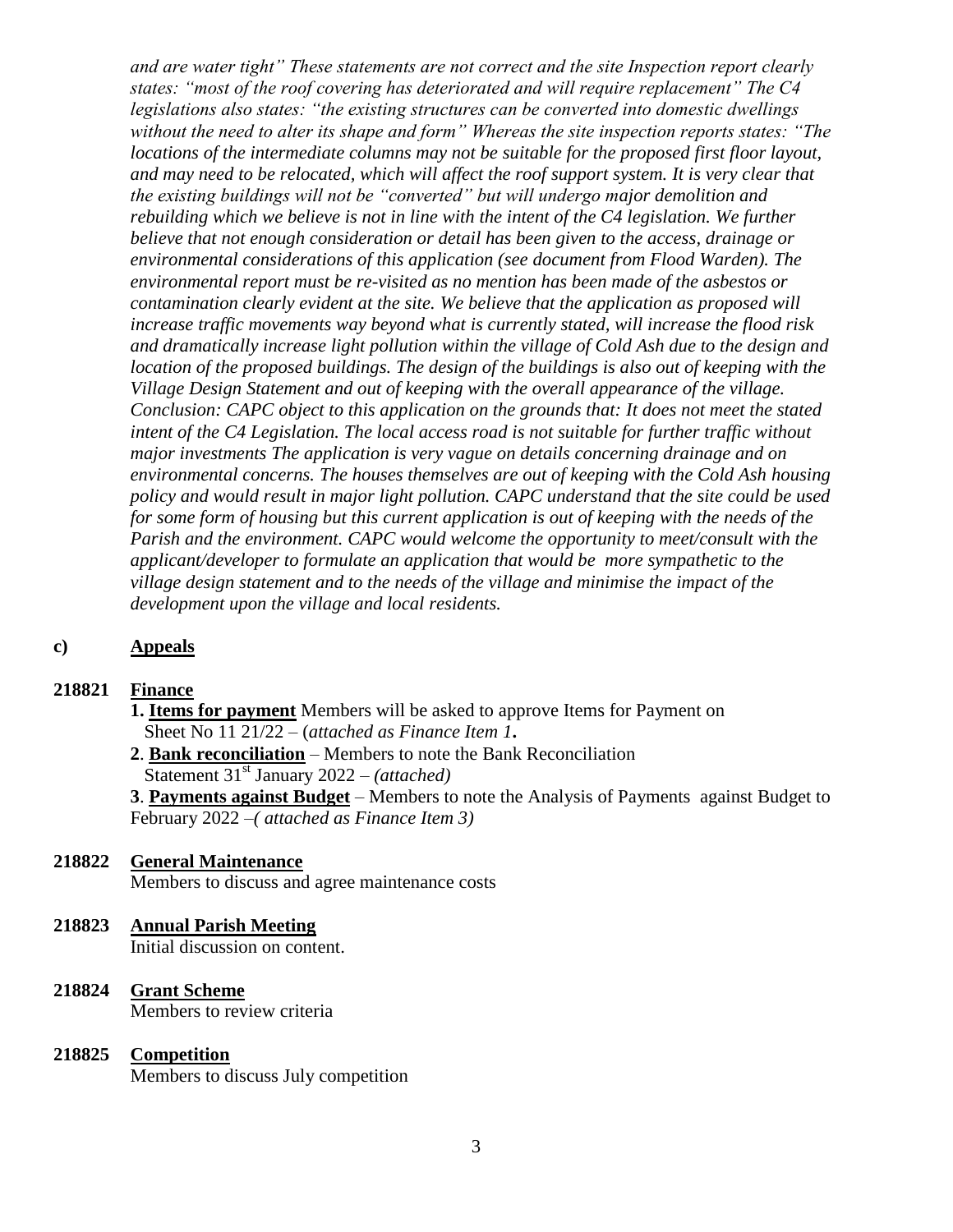*and are water tight" These statements are not correct and the site Inspection report clearly states: "most of the roof covering has deteriorated and will require replacement" The C4 legislations also states: "the existing structures can be converted into domestic dwellings without the need to alter its shape and form" Whereas the site inspection reports states: "The locations of the intermediate columns may not be suitable for the proposed first floor layout, and may need to be relocated, which will affect the roof support system. It is very clear that the existing buildings will not be "converted" but will undergo major demolition and rebuilding which we believe is not in line with the intent of the C4 legislation. We further believe that not enough consideration or detail has been given to the access, drainage or environmental considerations of this application (see document from Flood Warden). The environmental report must be re-visited as no mention has been made of the asbestos or contamination clearly evident at the site. We believe that the application as proposed will increase traffic movements way beyond what is currently stated, will increase the flood risk and dramatically increase light pollution within the village of Cold Ash due to the design and location of the proposed buildings. The design of the buildings is also out of keeping with the Village Design Statement and out of keeping with the overall appearance of the village. Conclusion: CAPC object to this application on the grounds that: It does not meet the stated intent of the C4 Legislation. The local access road is not suitable for further traffic without major investments The application is very vague on details concerning drainage and on environmental concerns. The houses themselves are out of keeping with the Cold Ash housing policy and would result in major light pollution. CAPC understand that the site could be used for some form of housing but this current application is out of keeping with the needs of the Parish and the environment. CAPC would welcome the opportunity to meet/consult with the applicant/developer to formulate an application that would be more sympathetic to the village design statement and to the needs of the village and minimise the impact of the development upon the village and local residents.* 

#### **c) Appeals**

#### **218821 Finance**

**1. Items for payment** Members will be asked to approve Items for Payment on Sheet No 11 21/22 – (*attached as Finance Item 1***.**

**2**. **Bank reconciliation** – Members to note the Bank Reconciliation Statement 31st January 2022 – *(attached)*

**3**. **Payments against Budget** – Members to note the Analysis of Payments against Budget to February 2022 *–( attached as Finance Item 3)*

#### **218822 General Maintenance**

Members to discuss and agree maintenance costs

#### **218823 Annual Parish Meeting**

Initial discussion on content.

### **218824 Grant Scheme** Members to review criteria

#### **218825 Competition**

Members to discuss July competition